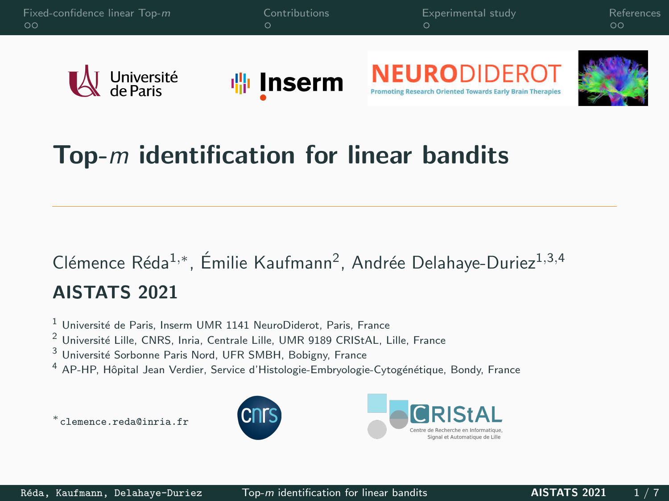

## Top- $m$  identification for linear bandits

## Clémence Réda<sup>1,</sup>\*, Émilie Kaufmann<sup>2</sup>, Andrée Delahaye-Duriez<sup>1,3,4</sup> AISTATS 2021

 $1$  Université de Paris, Inserm UMR 1141 NeuroDiderot, Paris, France

<sup>2</sup> Université Lille, CNRS, Inria, Centrale Lille, UMR 9189 CRIStAL, Lille, France

Université Sorbonne Paris Nord, UFR SMBH, Bobigny, France

AP-HP, Hôpital Jean Verdier, Service d'Histologie-Embryologie-Cytogénétique, Bondy, France

<sup>∗</sup>clemence.reda@inria.fr



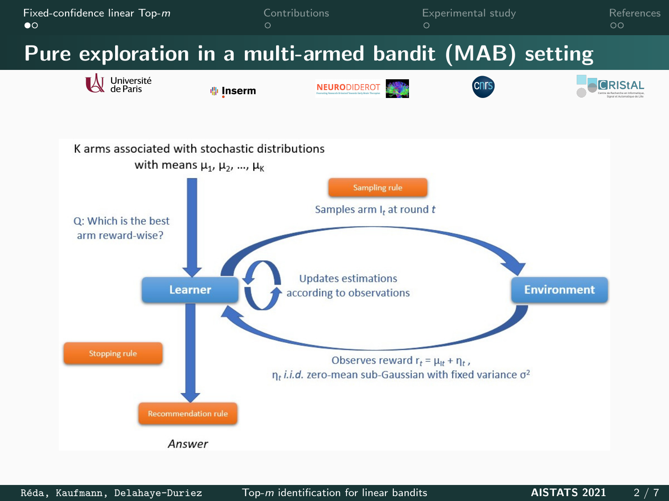<span id="page-1-0"></span>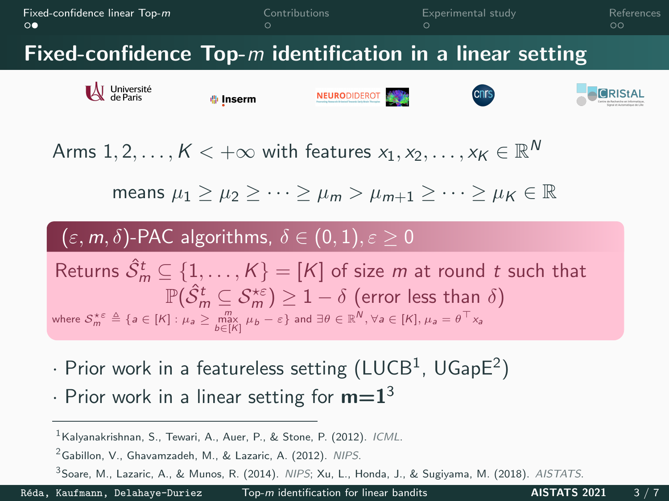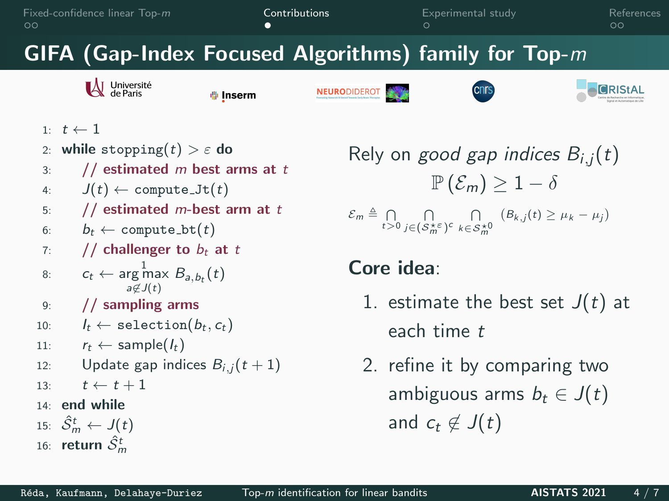<span id="page-3-0"></span>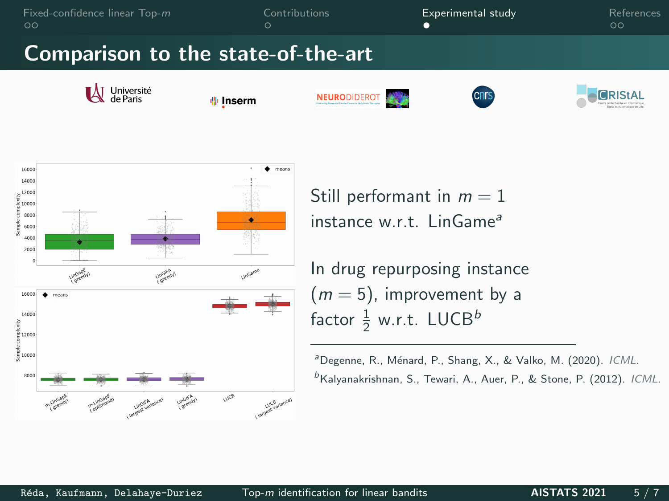<span id="page-4-0"></span>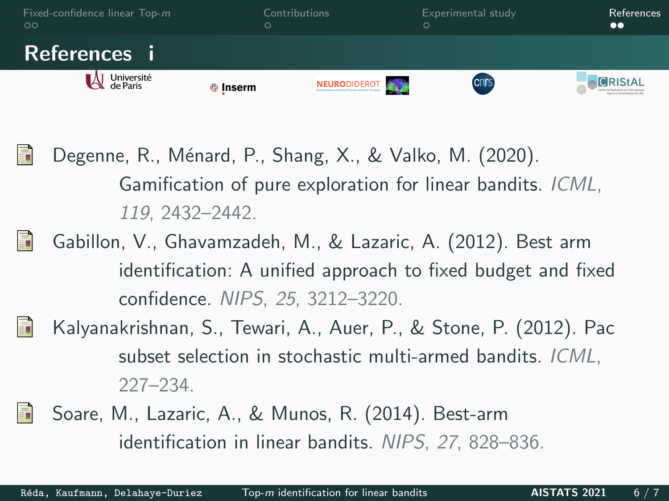<span id="page-5-0"></span>

- Degenne, R., Ménard, P., Shang, X., & Valko, M. (2020). Gamification of pure exploration for linear bandits. ICML, 119, 2432–2442.
- 聶 Gabillon, V., Ghavamzadeh, M., & Lazaric, A. (2012). Best arm identification: A unified approach to fixed budget and fixed confidence. NIPS, 25, 3212–3220.



螶

- Kalyanakrishnan, S., Tewari, A., Auer, P., & Stone, P. (2012). Pac subset selection in stochastic multi-armed bandits. ICML, 227–234.
- Soare, M., Lazaric, A., & Munos, R. (2014). Best-arm 暈 identification in linear bandits. NIPS, 27, 828–836.